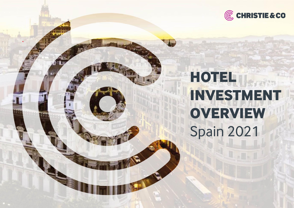

# **HOTEL INVESTMENT OVERVIEW** Spain 2021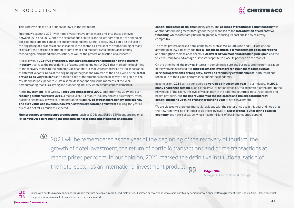

This is how we closed our outlook for 2021 in the last report :

*'*In short, we expect a 2021 with hotel investment volumes more similar to those achieved between 2016 and 2019, once the expectations of buyers and sellers come closer, the financing tap is opened and the light at the end of the pandemic tunnel is close. 2021 could be the year of the beginning of a process of consolidation in the sector, as a result of the repositioning of many assets and the possible absorption of some small and medium-sized chains, accelerating technological and brand modernisation, as well as the professionalisation of our sector*.'*

And so it was, a **2021 full of changes, transactions and a transformation of the tourism** 

**industry** thanks to the repositioning of assets and technology. A 2021 that marked the beginning of the recovery thanks to the expected vaccinations but that was twisted twice by the appearance of different variants, Delta at the beginning of the year and Omicron at the end. Even so, the **sector proved to be very resilient** and handled each of the situations in the best way, being able to see results similar or superior to 2019 in some destinations and some moments of the year, demonstrating that it is a strong and pioneering industry when circumstances demand it.

At the **investment** level, we saw a **rebound compared to 2020**, outperforming 2019 and even **reaching similar levels to 2018**, a record year. Our mature industry showed its strength, often reaching historically low yields, demonstrating its **ability to attract increasingly core capital. The pure value add investor, however, saw his expectations frustrated** during the year as prices did not fall as much as expected.

**Numerous government support measures,** such as ICO loans, ERTE's, SEPI loans and regional aid **contributed to reducing the pressure on hotel companies' balance sheets and** 

**conditioned sales decisions** in many cases. The **absence of traditional bank financing** was another determining factor throughout the year and led to the **introduction of alternative financing**, which fortunately has been gradually reducing its cost and is now relatively competitive.

The most professionalised hotel companies, such as Meliá Hotels Int. and NH Hoteles, took advantage of 2021 to carry out **sale & leaseback and sale & management back operations**  and strengthen their balance sheets. **TUI divested two major hotel holdings in Spain** and the Selenta Group took advantage of investor appetite to place its portfolio on the market.

On the other hand, the growing interest in combining leisure and business and the normalisation of teleworking increased the **appetite among investors for business models such as serviced apartments or long stay, as well as for luxury establishments**, both resort and urban, due to their good performance during the pandemic.

In conclusion, **2021** can be considered **a very good investment year** in our industry**. In 2022, many challenges remain**, such as the arrival or not of direct aid, the adaptation of the offer to the new needs of the client, the level of vaccination in the different countries, travel restrictions and health protocols, but **the improvement of the indicators and the expected market conditions make us think of another historic year** of hotel investment.

We are pleased to share our market knowledge with the sector once again this year and hope that this new report will be of interest to all those involved in **a sector that is vital to the Spanish economy:** the hotel sector, on whose health millions of jobs in our country depend.

66 2021 will be remembered as the year of the beginning of the recovery of tourism, the growth of hotel investment, the return of portfolio transactions and prime transactions at record prices per room. In our opinion, 2021 marked the definitive institutionalisation of the hotel sector as an international investment product 515 **Edgar Ollé**

Managing Director Spain & Portugal

ര്ര

In line with our terms and conditions, this report may not be copied, reproduced, distributed, disclosed or revealed in whole or in part to any person without prior written agreement from Christie & Co. Please note that the prices for non available transactions have been estimated.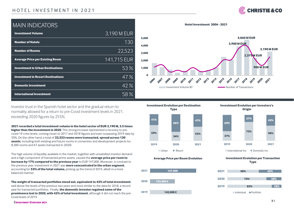## HOTEL INVESTMENT IN 2021



# MAIN INDICATORS

| <b>Investment Volume</b>                 | 3,190 M EUR       |
|------------------------------------------|-------------------|
| <b>Number of Hotels</b>                  | 130               |
| <b>Number of Rooms</b>                   | 22.523            |
| <b>Average Price per Existing Room</b>   | 141,715 EUR       |
| <b>Investment in Urban Destinations</b>  | 53%               |
| <b>Investment in Resort Destinations</b> | 47%               |
| <b>Domestic Investment</b>               | $\overline{42\%}$ |
| <b>International Investment</b>          |                   |



Investor trust in the Spanish hotel sector and the gradual return to normality allowed for a return to pre-Covid investment levels in 2021, exceeding 2020 figures by 255%.

**2021 recorded a total investment volume in the hotel sector of EUR 3,190 M, 3.5 times higher than the investment in 2020**. This strong increase represented a recovery to precovid-19 crisis levels, coming closer to 2017 and 2018 figures and even surpassing 2019 data by 35%. On the other hand, a total of **22,523 rooms were transacted, spread across 130 assets**, including both existing and future rooms in conversion and development projects (vs. 8,300 rooms and 67 assets transacted in 2020).

The high volume of liquidity available in the market, together with unsatisfied investor demand and a high component of transacted prime assets, caused the **average price per room to increase by 17% compared to the previous year** to EUR 147,000. Moreover, in contrast to the previous year, investment in 2021 was **more concentrated in the urban segment**, accounting for **53% of the total volume,** picking up the trend of 2019, albeit in a more balanced manner.

**The weight of transacted portfolios stood out, equivalent to 42% of total investment**, well above the levels of the previous two years and more similar to the data for 2018, a record year for transacted portfolios. Finally, **the domestic investor regained some of the prominence lost in 2020, with 42% of total investment**, although it did not reach the pre-Covid levels of 2019.



**Average Price per Room Evolution**











**| INVESTMENT OVERVIEW <sup>2021</sup>**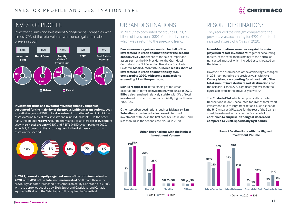

# INVESTOR PROFILE

Investment Firms and Investment Management Companies, with almost 70% of the total volume, were once again the major players in 2021.



#### **Investment firms and Investment Management Companies accounted for the majority of the most significant transactions**, both in portfolios (around 70% of total investment in portfolios) and in individual assets (around 65% of total investment in individual assets). On the other hand, the gradual **recovery** during the year led to an increase in investment activity **by hotel groups** (+33%) and **REITs** (+150%) compared to 2020, especially focused on the resort segment in the first case and on urban assets in the second.



**In 2021, domestic equity regained some of the prominence lost in 2020, with 42% of the total volume invested**, 55% more than in the previous year, when it reached 27%. American equity also stood out (18%), with the portfolios acquired by Sixth Street and Castlelake, and Canadian equity (14%), due to the Selenta portfolio acquired by Brookfield.

# URBAN DESTINATIONS

In 2021, they accounted for around EUR 1,7 billion of investment, 53% of the total volume, which was a return to the pre-covid trend.

**Barcelona once again accounted for half of the investment in urban destinations for the second consecutive year**, thanks to the sale of important assets such as the NH Presidente, the Gran Hotel Central and the NH Collection Barcelona Gran Hotel Calderón. **Madrid, meanwhile, increased its share of investment in urban destinations by 75% compared to 2020, with some transactions exceeding €1 million per room.** 

**Seville reappeared** in the ranking of top urban destinations in terms of investment, with 3% as in 2020. **Bilbao** also remained relatively **stable**, with 3% of total investment in urban destinations, slightly higher than in 2020 (2%).

Other top urban destinations, such as **Malaga or San Sebastian**, experienced a **decrease** in terms of investment, with 2% in the first case (vs. 4% in 2020) and less than 1% in the second case (vs. 5% in 2020).

> **Urban Destinations with the Highest Investment Volume**

# RESORT DESTINATIONS

They reduced their weight compared to the previous year, accounting for 47% of the total invested instead of 67% as in 2020.

**Island destinations were once again the main players in resort investment**, together accounting for 69% of the total, thanks mainly to the portfolios transacted, most of which included assets located on the islands.

However, the prominence of the archipelagos changed in 2021 compared to the previous year, with **the Canary Islands accounting for almost half of the total amount invested in resort destinations** and the Balearic Islands 22%, significantly lower than the figure achieved in the previous year (48%).

The **Costa del Sol,** which had practically no hotel transactions in 2020, accounted for 16% of total resort investment, due to large transactions, such as that of the H10 Andalucía Plaza. As for the rest of the Spanish coast, investment activity on the Costa de la Luz **continues to surprise, although it decreased compared to 2020, specifically by 8 points.** 



#### **Resort Destinations with the Highest Investment Volume**



 $2019$  2020 2021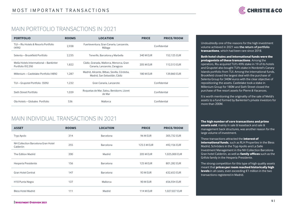

### **PERFIL IN THE PROPERTY OF** MAIN PORTFOLIO TRANSACTIONS IN 2021

| <b>PORTFOLIO</b>                                            | <b>ROOMS</b> | <b>LOCATION</b>                                                             | <b>PRICE</b>     | <b>PRICE/ROOM</b> |
|-------------------------------------------------------------|--------------|-----------------------------------------------------------------------------|------------------|-------------------|
| TUI – Riu Hotels & Resorts Portfolio<br>(49%)               | 2.938        | Fuerteventura, Gran Canaria, Lanzarote,<br>Málaga                           | Confidential     |                   |
| Selenta – Brookfield Portfolio                              | 2,235        | Tenerife, Barcelona y Marbella                                              | 340 M EUR        | 152,125 EUR       |
| Melía Hotels Intermational - Bankinter<br>Portfolio (92,5%) | 1,822        | Cádiz, Granada, Mallorca, Menorca, Gran<br>Canaria, Lanzarote, Zaragoza     | <b>205 M EUR</b> | 112,513 EUR       |
| Millenium – Castlelake Portfolio (48%)                      | 1.287        | Madrid, Alicante, Bilbao, Sevilla, Córdoba,<br>Madrid, San Sebastián, Cádiz | <b>180 M EUR</b> | 139,860 EUR       |
| TUI - Grupotel Portfolio (50%)                              | 1.232        | Gran Canaria, Lanzarote                                                     | Confidential     |                   |
| Sixth Street Portfolio                                      | 1.039        | Roquetas de Mar, Salou, Benidorm, Lloret<br>de Mar                          | Confidential     |                   |
| Ola Hotels - Globales Portfolio                             | 536          | Mallorca                                                                    | Confidential     |                   |

# MAIN INDIVIDUAL TRANSACTIONS IN 2021

| <b>ASSET</b>                                   | <b>ROOMS</b> | <b>LOCATION</b>  | <b>PRICE</b>       | <b>PRICE/ROOM</b> |
|------------------------------------------------|--------------|------------------|--------------------|-------------------|
| Tryp Apolo                                     | 314          | <b>Barcelona</b> | <b>96 M EUR</b>    | 305,732 EUR       |
| NH Collection Barcelona Gran Hotel<br>Calderón | 255          | <b>Barcelona</b> | <b>125.5 M EUR</b> | 492,156 EUR       |
| The Edition Madrid                             | 200          | Madrid           | <b>205 M EUR</b>   | 1,025,000 EUR     |
| Hesperia Presidente                            | 156          | <b>Barcelona</b> | <b>125 M EUR</b>   | 801,282 EUR       |
| <b>Gran Hotel Central</b>                      | 147          | <b>Barcelona</b> | <b>93 M EUR</b>    | 632,653 EUR       |
| H10 Punta Negra                                | 137          | Mallorca         | 90 M EUR           | 656,934 EUR       |
| <b>Bless Hotel Madrid</b>                      | 111          | Madrid           | <b>114 M EUR</b>   | 1,027,027 EUR     |

Undoubtedly one of the reasons for the high investment volume achieved in 2021 was **the return of portfolio transactions**, which had been rare since 2018.

**Both hotel chains and international funds were the protagonists of these transactions**. Among the operators, Riu acquired TUI's 49% stake in 19 of its hotels and Grupotel also bought TUI's stake in Nordotel's Canary Islands portfolio from TUI. Among the international funds, Brookfield closed the largest deal with the purchase of Selenta Group for 340M euros with the clear objective of repositioning the assets. Castlelake took a stake in Millenium Group for 180M and Sixth Street closed the purchase of five resort assets for Pierre & Vacances.

It is worth mentioning the originality of the sale of Melia's assets to a fund formed by Bankinter's private investors for more than 200M.

**The high number of core transactions and prime assets sold**, mainly in sale & leaseback and sale &

management back structures, was another reason for the large volume of investment.

These transactions attracted the **interest of international funds**, such as RLH Properties in the Bless Madrid, Schröders in the Tryp Apollo and La Salle Investment Management in the NH Collection Barcelona Gran hotel Calderón, as well as **family offices** such as the Grifols family in the Hesperia Presidente.

The strong competition for this type of high quality assets meant that **prices per room reached historically high levels** in all cases, even exceeding €1 million in the two transactions registered in Madrid.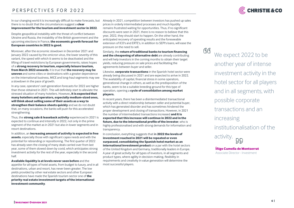## P F R S P F C T I V F S F O R 2022



there is no doubt that the circumstances suggest a **clear**<br>**improvement for the tourism and investment sector improvement for the tourism and investment sector in 2022**.

Despite geopolitical instability with the threat of conflict between Ukraine and Russia, the instability of the British government and the upcoming elections in France, **the economic growth forecast for European countries in 2022 is good.** 

Moreover, after the economic slowdown in December 2021 and January 2022 caused by the omicron virus, the lower severity of this variant, the speed with which it seems to be deactivated and the lifting of travel restrictions by European governments, raises hopes of a **strong recovery in tourism, especially leisure tourism, from March 2022 onwards**. It is true that **the recovery may be uneven** and some cities or destinations with a greater dependence on the international business, MICE and long-haul segments may see a slowdown in the pace of growth.

In any case, operators' cash generation forecasts for 2022 are higher than those obtained in 2021. This will definitely start to alleviate the stressed situation of many hoteliers. However**, it is expected that many hoteliers and operators, especially medium-sized ones, will think about selling some of their assets as a way to strengthen their balance sheets quickly** and we do not doubt that, on many occasions, the banks will push for this accelerated strengthening.

Thus, the **strong sale & leaseback activity** experienced in 2021 is expected to continue and intensify in 2022, not only in the prime segment of the market as in 2021 but also in lower segments and in resort destinations.

In addition, an **increasing amount of activity is expected in free assets**, especially those with significant capex needs and with the potential for rebranding or repositioning. The first quarter of 2022 has already seen the closing of many deals carried over from last year, some of them slowed down by covid, which anticipates strong investment activity for the rest of the year, especially in the second half.

**Available liquidity is at levels never seen before** and the appetite for all types of hotel assets, from budget to luxury, and in all destinations, urban and resort, has never been greater. The low yields provided by other real estate sectors and other European destinations have made the Spanish tourism sector one of **the priority real estate investment targets of the international investment community**.

In our changing world it is increasingly difficult to make forecasts, but Already in 2021, competition between investors has pushed up sales prices in orderly intermediated processes and much liquidity remains frustrated waiting for opportunities. Thus, if no significant discounts were seen in 2021, there is no reason to believe that this year, 2022, they should start to happen. On the other hand, the anticipated recovery of operating results and the foreseeable extension of ICO's and ERTE's, in addition to SEPI's loans, will ease the pressure on the need to sell.

> Similarly, the **return of traditional banks to tourism financing and the cheapening of alternative debt** are already contributing and will help investors in the coming months to obtain their target yields, reducing pressure on sale prices and facilitating the agreements between buyer and seller.

> Likewise, **corporate transactions** in the Spanish hotel sector were already being discussed in 2021 and are expected to arrive in 2022. The availability of capital, financial stress in some operators, generational change in others, as well as the predisposition of the banks, seem to be a suitable breeding ground for this type of operation, opening a **cycle of consolidation among market players.**

In recent years, there has been a disintermediated transactional activity with a direct relationship between seller and potential buyer, which has generated disorder and has sometimes hindered the proper development and closing of transactions. However, in 2021 the number of intermediated transactions increased **and it is expected that this increase will continue in 2022 and in the future, due to the international profile of the investor**, who is highly professionalised and with strong demands for information and transparency.

In conclusion, everything suggests that **in 2022 the levels of investment reached in 2021 will be repeated or even surpassed, consolidating the Spanish hotel market as an international investment product** on a par with the hotel sectors of the United Kingdom and Germany, traditionally leaders in Europe. A year of great activity for all types of investors, in all segments and product types, where agility in decision-making, flexibility in requirements and creativity in value generation will determine the most successful players.

<u>GG</u> We expect 2022 to be another year of intense investment activity in the hotel sector for all players and in all segments, with possible corporate transactions and an increasing institutionalisation of the activity.  $55$ 

> **Íñigo Cumella de Montserrat** Associate Director - Investment